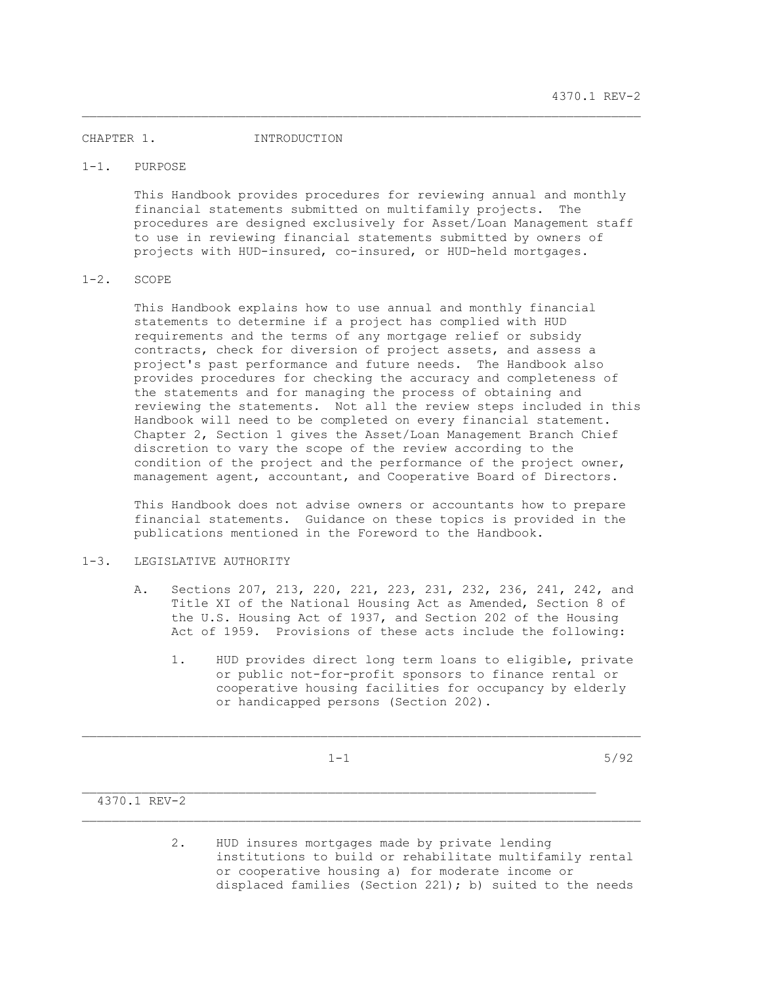#### CHAPTER 1. INTRODUCTION

### 1-1. PURPOSE

 This Handbook provides procedures for reviewing annual and monthly financial statements submitted on multifamily projects. The procedures are designed exclusively for Asset/Loan Management staff to use in reviewing financial statements submitted by owners of projects with HUD-insured, co-insured, or HUD-held mortgages.

\_\_\_\_\_\_\_\_\_\_\_\_\_\_\_\_\_\_\_\_\_\_\_\_\_\_\_\_\_\_\_\_\_\_\_\_\_\_\_\_\_\_\_\_\_\_\_\_\_\_\_\_\_\_\_\_\_\_\_\_\_\_\_\_\_\_\_\_\_\_\_\_\_\_\_

## 1-2. SCOPE

 This Handbook explains how to use annual and monthly financial statements to determine if a project has complied with HUD requirements and the terms of any mortgage relief or subsidy contracts, check for diversion of project assets, and assess a project's past performance and future needs. The Handbook also provides procedures for checking the accuracy and completeness of the statements and for managing the process of obtaining and reviewing the statements. Not all the review steps included in this Handbook will need to be completed on every financial statement. Chapter 2, Section 1 gives the Asset/Loan Management Branch Chief discretion to vary the scope of the review according to the condition of the project and the performance of the project owner, management agent, accountant, and Cooperative Board of Directors.

 This Handbook does not advise owners or accountants how to prepare financial statements. Guidance on these topics is provided in the publications mentioned in the Foreword to the Handbook.

# 1-3. LEGISLATIVE AUTHORITY

- A. Sections 207, 213, 220, 221, 223, 231, 232, 236, 241, 242, and Title XI of the National Housing Act as Amended, Section 8 of the U.S. Housing Act of 1937, and Section 202 of the Housing Act of 1959. Provisions of these acts include the following:
	- 1. HUD provides direct long term loans to eligible, private or public not-for-profit sponsors to finance rental or cooperative housing facilities for occupancy by elderly or handicapped persons (Section 202).

 $\mathcal{L}_\text{max}$ 

\_\_\_\_\_\_\_\_\_\_\_\_\_\_\_\_\_\_\_\_\_\_\_\_\_\_\_\_\_\_\_\_\_\_\_\_\_\_\_\_\_\_\_\_\_\_\_\_\_\_\_\_\_\_\_\_\_\_\_\_\_\_\_\_\_\_\_\_\_\_\_\_\_\_\_

 $1-1$  5/92

## 4370.1 REV-2

 2. HUD insures mortgages made by private lending institutions to build or rehabilitate multifamily rental or cooperative housing a) for moderate income or displaced families (Section 221); b) suited to the needs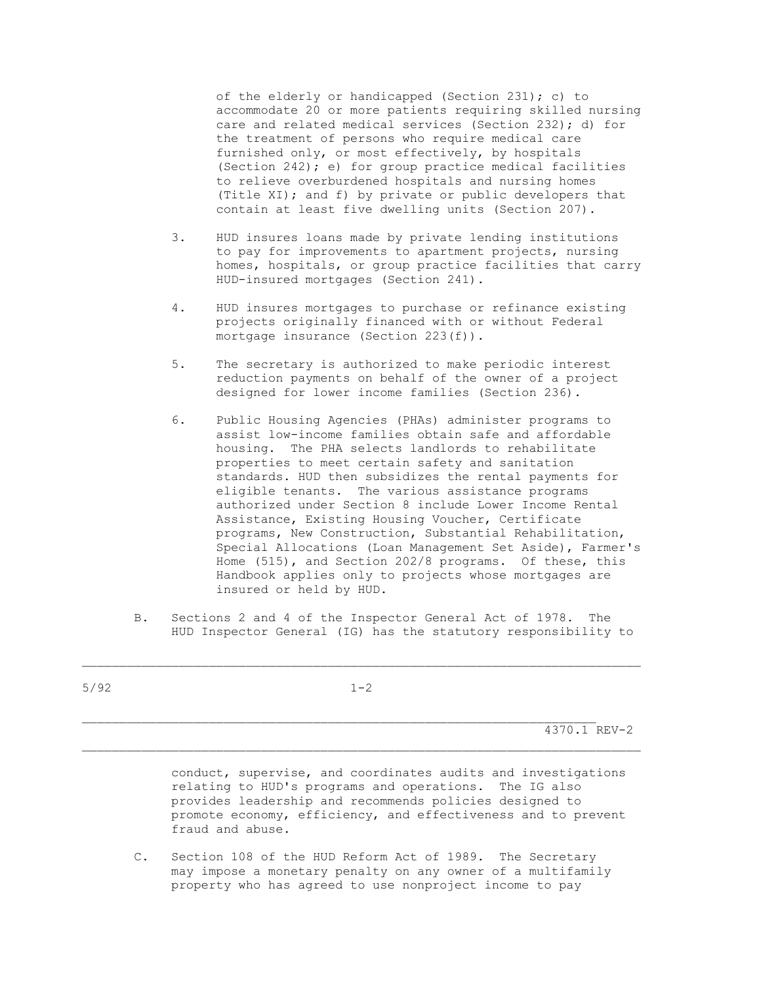of the elderly or handicapped (Section 231); c) to accommodate 20 or more patients requiring skilled nursing care and related medical services (Section 232); d) for the treatment of persons who require medical care furnished only, or most effectively, by hospitals (Section 242); e) for group practice medical facilities to relieve overburdened hospitals and nursing homes (Title XI); and f) by private or public developers that contain at least five dwelling units (Section 207).

- 3. HUD insures loans made by private lending institutions to pay for improvements to apartment projects, nursing homes, hospitals, or group practice facilities that carry HUD-insured mortgages (Section 241).
- 4. HUD insures mortgages to purchase or refinance existing projects originally financed with or without Federal mortgage insurance (Section 223(f)).
- 5. The secretary is authorized to make periodic interest reduction payments on behalf of the owner of a project designed for lower income families (Section 236).
- 6. Public Housing Agencies (PHAs) administer programs to assist low-income families obtain safe and affordable housing. The PHA selects landlords to rehabilitate properties to meet certain safety and sanitation standards. HUD then subsidizes the rental payments for eligible tenants. The various assistance programs authorized under Section 8 include Lower Income Rental Assistance, Existing Housing Voucher, Certificate programs, New Construction, Substantial Rehabilitation, Special Allocations (Loan Management Set Aside), Farmer's Home (515), and Section 202/8 programs. Of these, this Handbook applies only to projects whose mortgages are insured or held by HUD.
- B. Sections 2 and 4 of the Inspector General Act of 1978. The HUD Inspector General (IG) has the statutory responsibility to

| 5/92 | $1 - 2$ |              |
|------|---------|--------------|
|      |         |              |
|      |         | 4370.1 REV-2 |
|      |         |              |

 conduct, supervise, and coordinates audits and investigations relating to HUD's programs and operations. The IG also provides leadership and recommends policies designed to promote economy, efficiency, and effectiveness and to prevent fraud and abuse.

 C. Section 108 of the HUD Reform Act of 1989. The Secretary may impose a monetary penalty on any owner of a multifamily property who has agreed to use nonproject income to pay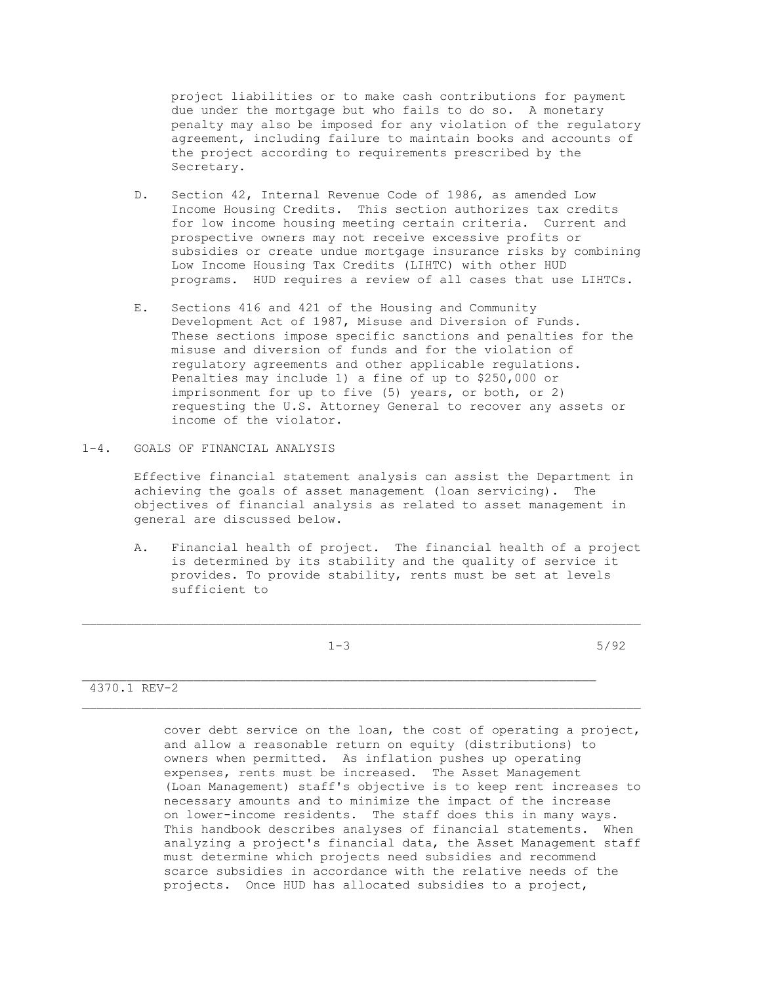project liabilities or to make cash contributions for payment due under the mortgage but who fails to do so. A monetary penalty may also be imposed for any violation of the regulatory agreement, including failure to maintain books and accounts of the project according to requirements prescribed by the Secretary.

- D. Section 42, Internal Revenue Code of 1986, as amended Low Income Housing Credits. This section authorizes tax credits for low income housing meeting certain criteria. Current and prospective owners may not receive excessive profits or subsidies or create undue mortgage insurance risks by combining Low Income Housing Tax Credits (LIHTC) with other HUD programs. HUD requires a review of all cases that use LIHTCs.
- E. Sections 416 and 421 of the Housing and Community Development Act of 1987, Misuse and Diversion of Funds. These sections impose specific sanctions and penalties for the misuse and diversion of funds and for the violation of regulatory agreements and other applicable regulations. Penalties may include 1) a fine of up to \$250,000 or imprisonment for up to five (5) years, or both, or 2) requesting the U.S. Attorney General to recover any assets or income of the violator.
- 1-4. GOALS OF FINANCIAL ANALYSIS

 Effective financial statement analysis can assist the Department in achieving the goals of asset management (loan servicing). The objectives of financial analysis as related to asset management in general are discussed below.

 A. Financial health of project. The financial health of a project is determined by its stability and the quality of service it provides. To provide stability, rents must be set at levels sufficient to

\_\_\_\_\_\_\_\_\_\_\_\_\_\_\_\_\_\_\_\_\_\_\_\_\_\_\_\_\_\_\_\_\_\_\_\_\_\_\_\_\_\_\_\_\_\_\_\_\_\_\_\_\_\_\_\_\_\_\_\_\_\_\_\_\_\_\_\_\_\_\_\_\_\_\_

 $1-3$  5/92

### 4370.1 REV-2

 cover debt service on the loan, the cost of operating a project, and allow a reasonable return on equity (distributions) to owners when permitted. As inflation pushes up operating expenses, rents must be increased. The Asset Management (Loan Management) staff's objective is to keep rent increases to necessary amounts and to minimize the impact of the increase on lower-income residents. The staff does this in many ways. This handbook describes analyses of financial statements. When analyzing a project's financial data, the Asset Management staff must determine which projects need subsidies and recommend scarce subsidies in accordance with the relative needs of the projects. Once HUD has allocated subsidies to a project,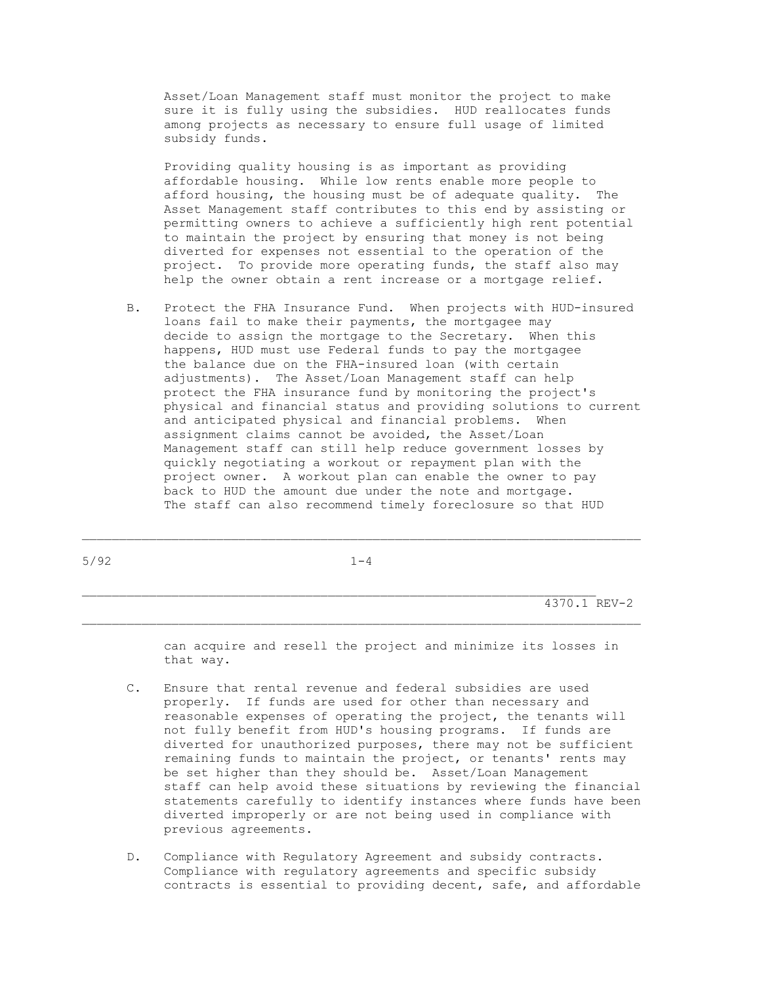Asset/Loan Management staff must monitor the project to make sure it is fully using the subsidies. HUD reallocates funds among projects as necessary to ensure full usage of limited subsidy funds.

 Providing quality housing is as important as providing affordable housing. While low rents enable more people to afford housing, the housing must be of adequate quality. The Asset Management staff contributes to this end by assisting or permitting owners to achieve a sufficiently high rent potential to maintain the project by ensuring that money is not being diverted for expenses not essential to the operation of the project. To provide more operating funds, the staff also may help the owner obtain a rent increase or a mortgage relief.

 B. Protect the FHA Insurance Fund. When projects with HUD-insured loans fail to make their payments, the mortgagee may decide to assign the mortgage to the Secretary. When this happens, HUD must use Federal funds to pay the mortgagee the balance due on the FHA-insured loan (with certain adjustments). The Asset/Loan Management staff can help protect the FHA insurance fund by monitoring the project's physical and financial status and providing solutions to current and anticipated physical and financial problems. When assignment claims cannot be avoided, the Asset/Loan Management staff can still help reduce government losses by quickly negotiating a workout or repayment plan with the project owner. A workout plan can enable the owner to pay back to HUD the amount due under the note and mortgage. The staff can also recommend timely foreclosure so that HUD

 $5/92$  1-4

\_\_\_\_\_\_\_\_\_\_\_\_\_\_\_\_\_\_\_\_\_\_\_\_\_\_\_\_\_\_\_\_\_\_\_\_\_\_\_\_\_\_\_\_\_\_\_\_\_\_\_\_\_\_\_\_\_\_\_\_\_\_\_\_\_\_\_\_\_\_\_\_\_\_\_

\_\_\_\_\_\_\_\_\_\_\_\_\_\_\_\_\_\_\_\_\_\_\_\_\_\_\_\_\_\_\_\_\_\_\_\_\_\_\_\_\_\_\_\_\_\_\_\_\_\_\_\_\_\_\_\_\_\_\_\_\_\_\_\_\_\_\_\_\_

4370.1 REV-2

 can acquire and resell the project and minimize its losses in that way.

- C. Ensure that rental revenue and federal subsidies are used properly. If funds are used for other than necessary and reasonable expenses of operating the project, the tenants will not fully benefit from HUD's housing programs. If funds are diverted for unauthorized purposes, there may not be sufficient remaining funds to maintain the project, or tenants' rents may be set higher than they should be. Asset/Loan Management staff can help avoid these situations by reviewing the financial statements carefully to identify instances where funds have been diverted improperly or are not being used in compliance with previous agreements.
- D. Compliance with Regulatory Agreement and subsidy contracts. Compliance with regulatory agreements and specific subsidy contracts is essential to providing decent, safe, and affordable